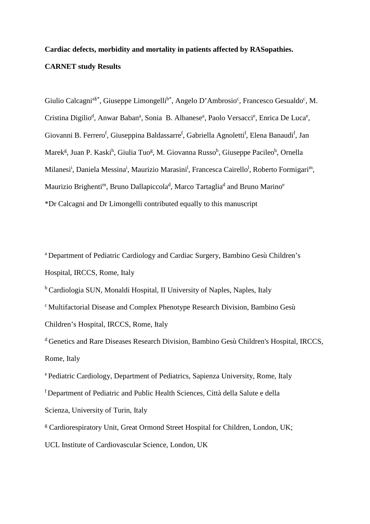# **Cardiac defects, morbidity and mortality in patients affected by RASopathies. CARNET study Results**

Giulio Calcagni<sup>a§\*</sup>, Giuseppe Limongelli<sup>b\*</sup>, Angelo D'Ambrosio<sup>c</sup>, Francesco Gesualdo<sup>c</sup>, M. Cristina Digilio<sup>d</sup>, Anwar Baban<sup>a</sup>, Sonia B. Albanese<sup>a</sup>, Paolo Versacci<sup>e</sup>, Enrica De Luca<sup>e</sup>, Giovanni B. Ferrero<sup>f</sup>, Giuseppina Baldassarre<sup>f</sup>, Gabriella Agnoletti<sup>f</sup>, Elena Banaudi<sup>f</sup>, Jan Marek<sup>g</sup>, Juan P. Kaski<sup>h</sup>, Giulia Tuo<sup>g</sup>, M. Giovanna Russo<sup>b</sup>, Giuseppe Pacileo<sup>b</sup>, Ornella Milanesi<sup>i</sup>, Daniela Messina<sup>i</sup>, Maurizio Marasini<sup>l</sup>, Francesca Cairello<sup>l</sup>, Roberto Formigari<sup>m</sup>, Maurizio Brighenti<sup>m</sup>, Bruno Dallapiccola<sup>d</sup>, Marco Tartaglia<sup>d</sup> and Bruno Marino<sup>e</sup> \*Dr Calcagni and Dr Limongelli contributed equally to this manuscript

<sup>a</sup> Department of Pediatric Cardiology and Cardiac Surgery, Bambino Gesù Children's Hospital, IRCCS, Rome, Italy

<sup>b</sup> Cardiologia SUN, Monaldi Hospital, II University of Naples, Naples, Italy

 $c$  Multifactorial Disease and Complex Phenotype Research Division, Bambino Gesù Children's Hospital, IRCCS, Rome, Italy

<sup>d</sup> Genetics and Rare Diseases Research Division, Bambino Gesù Children's Hospital, IRCCS, Rome, Italy

e Pediatric Cardiology, Department of Pediatrics, Sapienza University, Rome, Italy <sup>f</sup>Department of Pediatric and Public Health Sciences, Città della Salute e della Scienza, University of Turin, Italy

<sup>g</sup> Cardiorespiratory Unit, Great Ormond Street Hospital for Children, London, UK;

UCL Institute of Cardiovascular Science, London, UK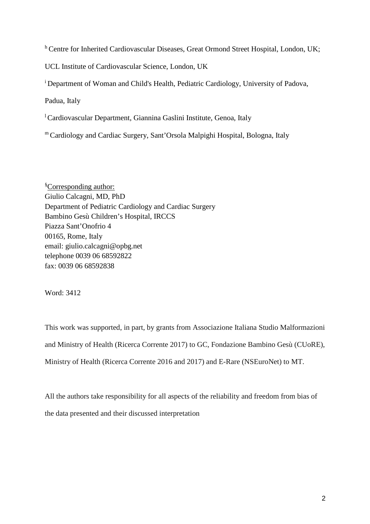h Centre for Inherited Cardiovascular Diseases, Great Ormond Street Hospital, London, UK;

UCL Institute of Cardiovascular Science, London, UK

<sup>i</sup> Department of Woman and Child's Health, Pediatric Cardiology, University of Padova,

Padua, Italy

 ${}^{1}$ Cardiovascular Department, Giannina Gaslini Institute, Genoa, Italy

<sup>m</sup>Cardiology and Cardiac Surgery, Sant'Orsola Malpighi Hospital, Bologna, Italy

§Corresponding author: Giulio Calcagni, MD, PhD Department of Pediatric Cardiology and Cardiac Surgery Bambino Gesù Children's Hospital, IRCCS Piazza Sant'Onofrio 4 00165, Rome, Italy email: [giulio.calcagni@opbg.net](mailto:giulio.calcagni@opbg.net) telephone 0039 06 68592822 fax: 0039 06 68592838

Word: 3412

This work was supported, in part, by grants from Associazione Italiana Studio Malformazioni and Ministry of Health (Ricerca Corrente 2017) to GC, Fondazione Bambino Gesù (CUoRE), Ministry of Health (Ricerca Corrente 2016 and 2017) and E-Rare (NSEuroNet) to MT.

All the authors take responsibility for all aspects of the reliability and freedom from bias of the data presented and their discussed interpretation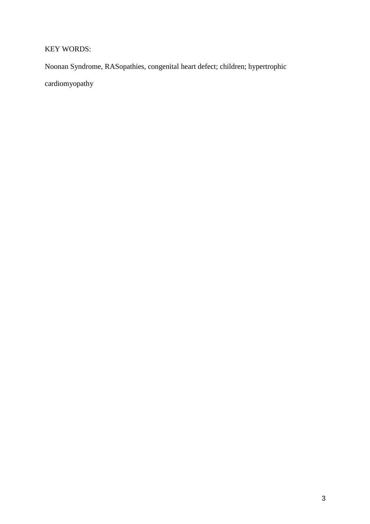# KEY WORDS:

Noonan Syndrome, RASopathies, congenital heart defect; children; hypertrophic

cardiomyopathy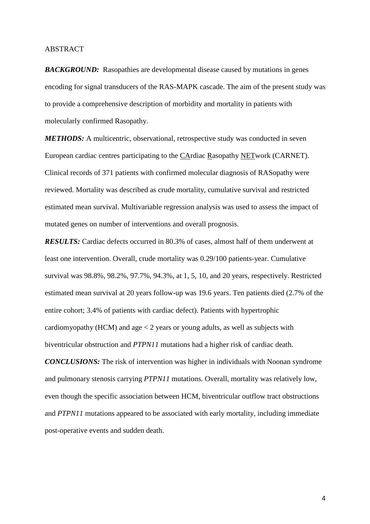#### **ABSTRACT**

**BACKGROUND:** Rasopathies are developmental disease caused by mutations in genes encoding for signal transducers of the RAS-MAPK cascade. The aim of the present study was to provide a comprehensive description of morbidity and mortality in patients with molecularly confirmed Rasopathy.

*METHODS:* A multicentric, observational, retrospective study was conducted in seven European cardiac centres participating to the CArdiac Rasopathy NETwork (CARNET). Clinical records of 371 patients with confirmed molecular diagnosis of RASopathy were reviewed. Mortality was described as crude mortality, cumulative survival and restricted estimated mean survival. Multivariable regression analysis was used to assess the impact of mutated genes on number of interventions and overall prognosis.

*RESULTS:* Cardiac defects occurred in 80.3% of cases, almost half of them underwent at least one intervention. Overall, crude mortality was 0.29/100 patients-year. Cumulative survival was 98.8%, 98.2%, 97.7%, 94.3%, at 1, 5, 10, and 20 years, respectively. Restricted estimated mean survival at 20 years follow-up was 19.6 years. Ten patients died (2.7% of the entire cohort; 3.4% of patients with cardiac defect). Patients with hypertrophic cardiomyopathy (HCM) and age  $< 2$  years or young adults, as well as subjects with biventricular obstruction and *PTPN11* mutations had a higher risk of cardiac death.

*CONCLUSIONS:* The risk of intervention was higher in individuals with Noonan syndrome and pulmonary stenosis carrying *PTPN11* mutations. Overall, mortality was relatively low, even though the specific association between HCM, biventricular outflow tract obstructions and *PTPN11* mutations appeared to be associated with early mortality, including immediate post-operative events and sudden death.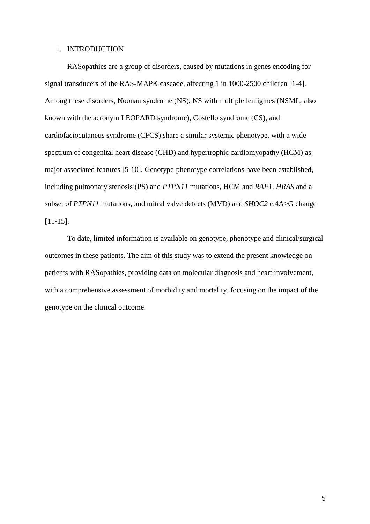#### 1. INTRODUCTION

RASopathies are a group of disorders, caused by mutations in genes encoding for signal transducers of the RAS-MAPK cascade, affecting 1 in 1000-2500 children [1-4]. Among these disorders, Noonan syndrome (NS), NS with multiple lentigines (NSML, also known with the acronym LEOPARD syndrome), Costello syndrome (CS), and cardiofaciocutaneus syndrome (CFCS) share a similar systemic phenotype, with a wide spectrum of congenital heart disease (CHD) and hypertrophic cardiomyopathy (HCM) as major associated features [5-10]. Genotype-phenotype correlations have been established, including pulmonary stenosis (PS) and *PTPN11* mutations, HCM and *RAF1*, *HRAS* and a subset of *PTPN11* mutations, and mitral valve defects (MVD) and *SHOC2* c.4A>G change [11-15].

To date, limited information is available on genotype, phenotype and clinical/surgical outcomes in these patients. The aim of this study was to extend the present knowledge on patients with RASopathies, providing data on molecular diagnosis and heart involvement, with a comprehensive assessment of morbidity and mortality, focusing on the impact of the genotype on the clinical outcome.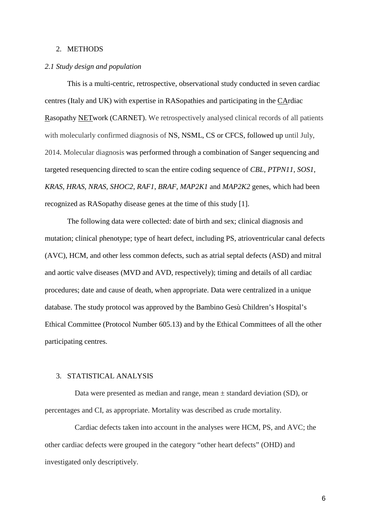#### 2. METHODS

#### *2.1 Study design and population*

This is a multi-centric, retrospective, observational study conducted in seven cardiac centres (Italy and UK) with expertise in RASopathies and participating in the CArdiac Rasopathy NETwork (CARNET). We retrospectively analysed clinical records of all patients with molecularly confirmed diagnosis of NS, NSML, CS or CFCS, followed up until July, 2014. Molecular diagnosis was performed through a combination of Sanger sequencing and targeted resequencing directed to scan the entire coding sequence of *CBL*, *PTPN11*, *SOS1*, *KRAS*, *HRAS*, *NRAS*, *SHOC2*, *RAF1*, *BRAF*, *MAP2K1* and *MAP2K2* genes, which had been recognized as RASopathy disease genes at the time of this study [1].

The following data were collected: date of birth and sex; clinical diagnosis and mutation; clinical phenotype; type of heart defect, including PS, atrioventricular canal defects (AVC), HCM, and other less common defects, such as atrial septal defects (ASD) and mitral and aortic valve diseases (MVD and AVD, respectively); timing and details of all cardiac procedures; date and cause of death, when appropriate. Data were centralized in a unique database. The study protocol was approved by the Bambino Gesù Children's Hospital's Ethical Committee (Protocol Number 605.13) and by the Ethical Committees of all the other participating centres.

#### 3. STATISTICAL ANALYSIS

Data were presented as median and range, mean  $\pm$  standard deviation (SD), or percentages and CI, as appropriate. Mortality was described as crude mortality.

Cardiac defects taken into account in the analyses were HCM, PS, and AVC; the other cardiac defects were grouped in the category "other heart defects" (OHD) and investigated only descriptively.

6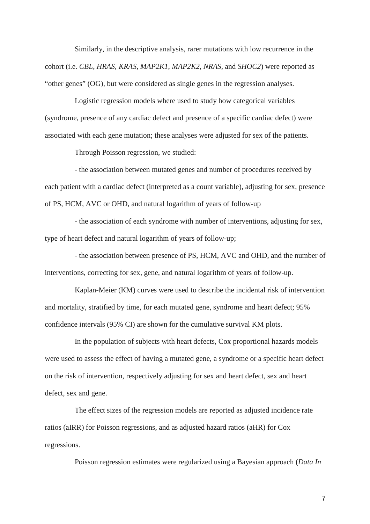Similarly, in the descriptive analysis, rarer mutations with low recurrence in the cohort (i.e. *CBL*, *HRAS*, *KRAS*, *MAP2K1*, *MAP2K2*, *NRAS*, and *SHOC2*) were reported as "other genes" (OG), but were considered as single genes in the regression analyses.

Logistic regression models where used to study how categorical variables (syndrome, presence of any cardiac defect and presence of a specific cardiac defect) were associated with each gene mutation; these analyses were adjusted for sex of the patients.

Through Poisson regression, we studied:

- the association between mutated genes and number of procedures received by each patient with a cardiac defect (interpreted as a count variable), adjusting for sex, presence of PS, HCM, AVC or OHD, and natural logarithm of years of follow-up

- the association of each syndrome with number of interventions, adjusting for sex, type of heart defect and natural logarithm of years of follow-up;

- the association between presence of PS, HCM, AVC and OHD, and the number of interventions, correcting for sex, gene, and natural logarithm of years of follow-up.

Kaplan-Meier (KM) curves were used to describe the incidental risk of intervention and mortality, stratified by time, for each mutated gene, syndrome and heart defect; 95% confidence intervals (95% CI) are shown for the cumulative survival KM plots.

In the population of subjects with heart defects, Cox proportional hazards models were used to assess the effect of having a mutated gene, a syndrome or a specific heart defect on the risk of intervention, respectively adjusting for sex and heart defect, sex and heart defect, sex and gene.

The effect sizes of the regression models are reported as adjusted incidence rate ratios (aIRR) for Poisson regressions, and as adjusted hazard ratios (aHR) for Cox regressions.

Poisson regression estimates were regularized using a Bayesian approach (*Data In* 

7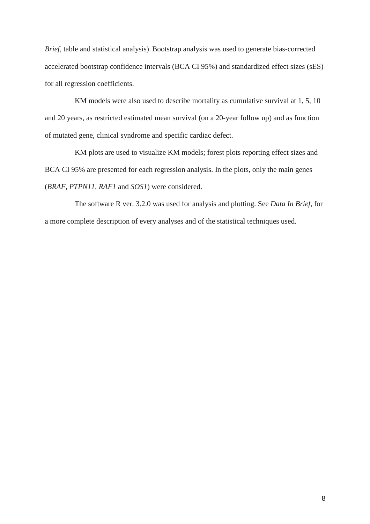*Brief*, table and statistical analysis). Bootstrap analysis was used to generate bias-corrected accelerated bootstrap confidence intervals (BCA CI 95%) and standardized effect sizes (sES) for all regression coefficients.

KM models were also used to describe mortality as cumulative survival at 1, 5, 10 and 20 years, as restricted estimated mean survival (on a 20-year follow up) and as function of mutated gene, clinical syndrome and specific cardiac defect.

KM plots are used to visualize KM models; forest plots reporting effect sizes and BCA CI 95% are presented for each regression analysis. In the plots, only the main genes (*BRAF, PTPN11, RAF1* and *SOS1*) were considered.

The software R ver. 3.2.0 was used for analysis and plotting. See *Data In Brief,* for a more complete description of every analyses and of the statistical techniques used.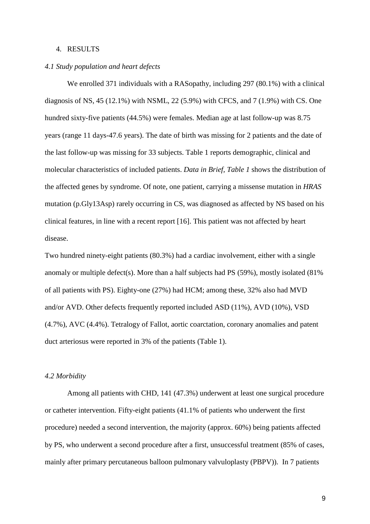#### 4. RESULTS

#### *4.1 Study population and heart defects*

We enrolled 371 individuals with a RASopathy, including 297 (80.1%) with a clinical diagnosis of NS, 45 (12.1%) with NSML, 22 (5.9%) with CFCS, and 7 (1.9%) with CS. One hundred sixty-five patients (44.5%) were females. Median age at last follow-up was 8.75 years (range 11 days-47.6 years). The date of birth was missing for 2 patients and the date of the last follow-up was missing for 33 subjects. Table 1 reports demographic, clinical and molecular characteristics of included patients. *Data in Brief, Table 1* shows the distribution of the affected genes by syndrome. Of note, one patient, carrying a missense mutation in *HRAS* mutation (p.Gly13Asp) rarely occurring in CS, was diagnosed as affected by NS based on his clinical features, in line with a recent report [16]. This patient was not affected by heart disease.

Two hundred ninety-eight patients (80.3%) had a cardiac involvement, either with a single anomaly or multiple defect(s). More than a half subjects had PS (59%), mostly isolated (81% of all patients with PS). Eighty-one (27%) had HCM; among these, 32% also had MVD and/or AVD. Other defects frequently reported included ASD (11%), AVD (10%), VSD (4.7%), AVC (4.4%). Tetralogy of Fallot, aortic coarctation, coronary anomalies and patent duct arteriosus were reported in 3% of the patients (Table 1).

#### *4.2 Morbidity*

Among all patients with CHD, 141 (47.3%) underwent at least one surgical procedure or catheter intervention. Fifty-eight patients (41.1% of patients who underwent the first procedure) needed a second intervention, the majority (approx. 60%) being patients affected by PS, who underwent a second procedure after a first, unsuccessful treatment (85% of cases, mainly after primary percutaneous balloon pulmonary valvuloplasty (PBPV)). In 7 patients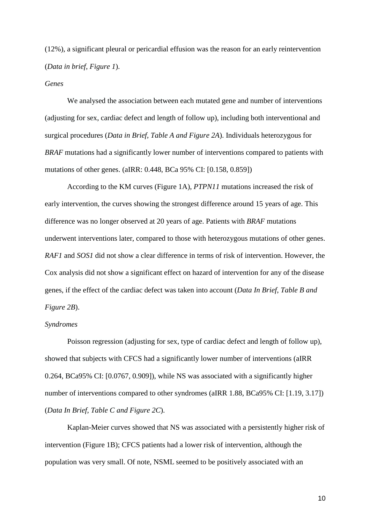(12%), a significant pleural or pericardial effusion was the reason for an early reintervention (*Data in brief, Figure 1*).

#### *Genes*

We analysed the association between each mutated gene and number of interventions (adjusting for sex, cardiac defect and length of follow up), including both interventional and surgical procedures (*Data in Brief, Table A and Figure 2A*). Individuals heterozygous for *BRAF* mutations had a significantly lower number of interventions compared to patients with mutations of other genes. (aIRR: 0.448, BCa 95% CI: [0.158, 0.859])

According to the KM curves (Figure 1A), *PTPN11* mutations increased the risk of early intervention, the curves showing the strongest difference around 15 years of age. This difference was no longer observed at 20 years of age. Patients with *BRAF* mutations underwent interventions later, compared to those with heterozygous mutations of other genes. *RAF1* and *SOS1* did not show a clear difference in terms of risk of intervention. However, the Cox analysis did not show a significant effect on hazard of intervention for any of the disease genes, if the effect of the cardiac defect was taken into account (*Data In Brief*, *Table B and Figure 2B*).

#### *Syndromes*

Poisson regression (adjusting for sex, type of cardiac defect and length of follow up), showed that subjects with CFCS had a significantly lower number of interventions (aIRR 0.264, BCa95% CI: [0.0767, 0.909]), while NS was associated with a significantly higher number of interventions compared to other syndromes (aIRR 1.88, BCa95% CI: [1.19, 3.17]) (*Data In Brief, Table C and Figure 2C*).

Kaplan-Meier curves showed that NS was associated with a persistently higher risk of intervention (Figure 1B); CFCS patients had a lower risk of intervention, although the population was very small. Of note, NSML seemed to be positively associated with an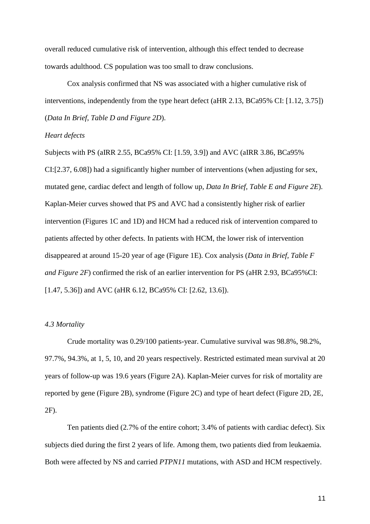overall reduced cumulative risk of intervention, although this effect tended to decrease towards adulthood. CS population was too small to draw conclusions.

Cox analysis confirmed that NS was associated with a higher cumulative risk of interventions, independently from the type heart defect (aHR 2.13, BCa95% CI: [1.12, 3.75]) (*Data In Brief*, *Table D and Figure 2D*).

#### *Heart defects*

Subjects with PS (aIRR 2.55, BCa95% CI: [1.59, 3.9]) and AVC (aIRR 3.86, BCa95% CI:[2.37, 6.08]) had a significantly higher number of interventions (when adjusting for sex, mutated gene, cardiac defect and length of follow up, *Data In Brief, Table E and Figure 2E*). Kaplan-Meier curves showed that PS and AVC had a consistently higher risk of earlier intervention (Figures 1C and 1D) and HCM had a reduced risk of intervention compared to patients affected by other defects. In patients with HCM, the lower risk of intervention disappeared at around 15-20 year of age (Figure 1E). Cox analysis (*Data in Brief, Table F and Figure 2F*) confirmed the risk of an earlier intervention for PS (aHR 2.93, BCa95%CI: [1.47, 5.36]) and AVC (aHR 6.12, BCa95% CI: [2.62, 13.6]).

#### *4.3 Mortality*

Crude mortality was 0.29/100 patients-year. Cumulative survival was 98.8%, 98.2%, 97.7%, 94.3%, at 1, 5, 10, and 20 years respectively. Restricted estimated mean survival at 20 years of follow-up was 19.6 years (Figure 2A). Kaplan-Meier curves for risk of mortality are reported by gene (Figure 2B), syndrome (Figure 2C) and type of heart defect (Figure 2D, 2E, 2F).

Ten patients died (2.7% of the entire cohort; 3.4% of patients with cardiac defect). Six subjects died during the first 2 years of life. Among them, two patients died from leukaemia. Both were affected by NS and carried *PTPN11* mutations, with ASD and HCM respectively.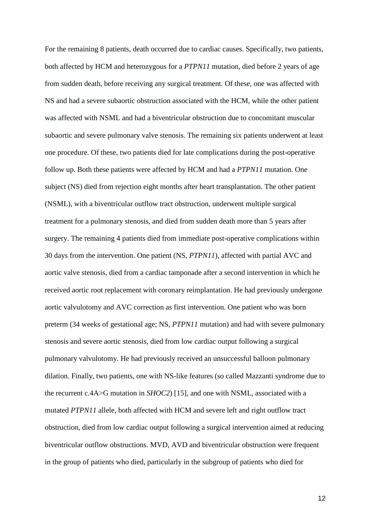For the remaining 8 patients, death occurred due to cardiac causes. Specifically, two patients, both affected by HCM and heterozygous for a *PTPN11* mutation, died before 2 years of age from sudden death, before receiving any surgical treatment. Of these, one was affected with NS and had a severe subaortic obstruction associated with the HCM, while the other patient was affected with NSML and had a biventricular obstruction due to concomitant muscular subaortic and severe pulmonary valve stenosis. The remaining six patients underwent at least one procedure. Of these, two patients died for late complications during the post-operative follow up. Both these patients were affected by HCM and had a *PTPN11* mutation. One subject (NS) died from rejection eight months after heart transplantation. The other patient (NSML), with a biventricular outflow tract obstruction, underwent multiple surgical treatment for a pulmonary stenosis, and died from sudden death more than 5 years after surgery. The remaining 4 patients died from immediate post-operative complications within 30 days from the intervention. One patient (NS, *PTPN11*), affected with partial AVC and aortic valve stenosis, died from a cardiac tamponade after a second intervention in which he received aortic root replacement with coronary reimplantation. He had previously undergone aortic valvulotomy and AVC correction as first intervention. One patient who was born preterm (34 weeks of gestational age; NS, *PTPN11* mutation) and had with severe pulmonary stenosis and severe aortic stenosis, died from low cardiac output following a surgical pulmonary valvulotomy. He had previously received an unsuccessful balloon pulmonary dilation. Finally, two patients, one with NS-like features (so called Mazzanti syndrome due to the recurrent c.4A>G mutation in *SHOC2*) [15], and one with NSML, associated with a mutated *PTPN11* allele, both affected with HCM and severe left and right outflow tract obstruction, died from low cardiac output following a surgical intervention aimed at reducing biventricular outflow obstructions. MVD, AVD and biventricular obstruction were frequent in the group of patients who died, particularly in the subgroup of patients who died for

12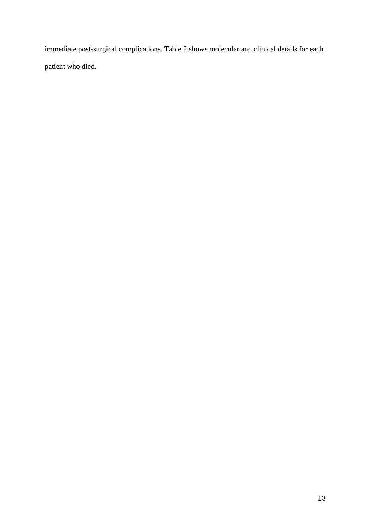immediate post-surgical complications. Table 2 shows molecular and clinical details for each patient who died.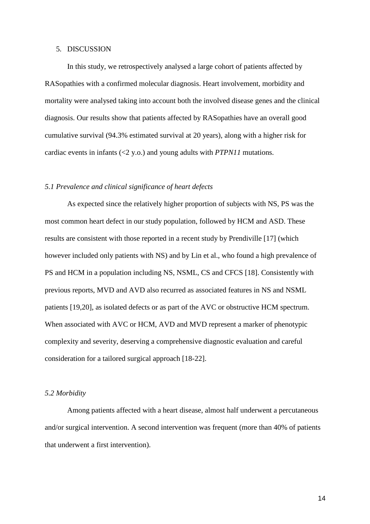#### 5. DISCUSSION

In this study, we retrospectively analysed a large cohort of patients affected by RASopathies with a confirmed molecular diagnosis. Heart involvement, morbidity and mortality were analysed taking into account both the involved disease genes and the clinical diagnosis. Our results show that patients affected by RASopathies have an overall good cumulative survival (94.3% estimated survival at 20 years), along with a higher risk for cardiac events in infants (<2 y.o.) and young adults with *PTPN11* mutations.

#### *5.1 Prevalence and clinical significance of heart defects*

As expected since the relatively higher proportion of subjects with NS, PS was the most common heart defect in our study population, followed by HCM and ASD. These results are consistent with those reported in a recent study by Prendiville [17] (which however included only patients with NS) and by Lin et al., who found a high prevalence of PS and HCM in a population including NS, NSML, CS and CFCS [18]. Consistently with previous reports, MVD and AVD also recurred as associated features in NS and NSML patients [19,20], as isolated defects or as part of the AVC or obstructive HCM spectrum. When associated with AVC or HCM, AVD and MVD represent a marker of phenotypic complexity and severity, deserving a comprehensive diagnostic evaluation and careful consideration for a tailored surgical approach [18-22].

#### *5.2 Morbidity*

Among patients affected with a heart disease, almost half underwent a percutaneous and/or surgical intervention. A second intervention was frequent (more than 40% of patients that underwent a first intervention).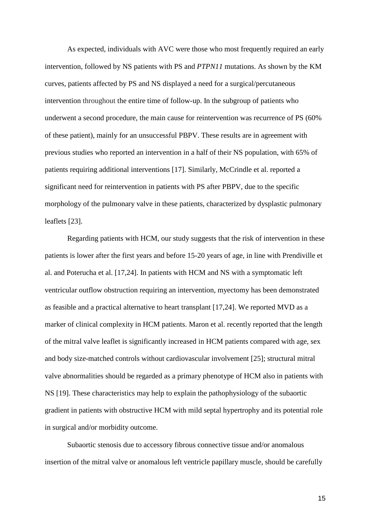As expected, individuals with AVC were those who most frequently required an early intervention, followed by NS patients with PS and *PTPN11* mutations. As shown by the KM curves, patients affected by PS and NS displayed a need for a surgical/percutaneous intervention throughout the entire time of follow-up. In the subgroup of patients who underwent a second procedure, the main cause for reintervention was recurrence of PS (60% of these patient), mainly for an unsuccessful PBPV. These results are in agreement with previous studies who reported an intervention in a half of their NS population, with 65% of patients requiring additional interventions [17]. Similarly, McCrindle et al. reported a significant need for reintervention in patients with PS after PBPV, due to the specific morphology of the pulmonary valve in these patients, characterized by dysplastic pulmonary leaflets [23].

Regarding patients with HCM, our study suggests that the risk of intervention in these patients is lower after the first years and before 15-20 years of age, in line with Prendiville et al. and Poterucha et al. [17,24]. In patients with HCM and NS with a symptomatic left ventricular outflow obstruction requiring an intervention, myectomy has been demonstrated as feasible and a practical alternative to heart transplant [17,24]. We reported MVD as a marker of clinical complexity in HCM patients. Maron et al. recently reported that the length of the mitral valve leaflet is significantly increased in HCM patients compared with age, sex and body size-matched controls without cardiovascular involvement [25]; structural mitral valve abnormalities should be regarded as a primary phenotype of HCM also in patients with NS [19]. These characteristics may help to explain the pathophysiology of the subaortic gradient in patients with obstructive HCM with mild septal hypertrophy and its potential role in surgical and/or morbidity outcome.

Subaortic stenosis due to accessory fibrous connective tissue and/or anomalous insertion of the mitral valve or anomalous left ventricle papillary muscle, should be carefully

15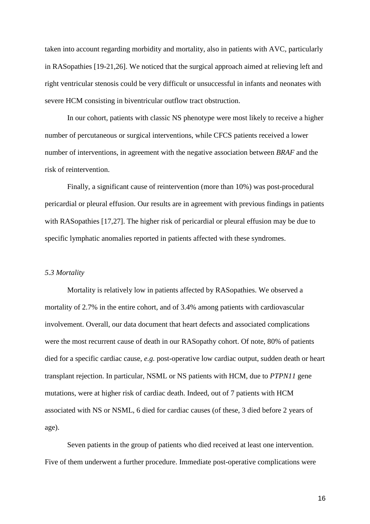taken into account regarding morbidity and mortality, also in patients with AVC, particularly in RASopathies [19-21,26]. We noticed that the surgical approach aimed at relieving left and right ventricular stenosis could be very difficult or unsuccessful in infants and neonates with severe HCM consisting in biventricular outflow tract obstruction.

In our cohort, patients with classic NS phenotype were most likely to receive a higher number of percutaneous or surgical interventions, while CFCS patients received a lower number of interventions, in agreement with the negative association between *BRAF* and the risk of reintervention.

Finally, a significant cause of reintervention (more than 10%) was post-procedural pericardial or pleural effusion. Our results are in agreement with previous findings in patients with RASopathies [17,27]. The higher risk of pericardial or pleural effusion may be due to specific lymphatic anomalies reported in patients affected with these syndromes.

#### *5.3 Mortality*

Mortality is relatively low in patients affected by RASopathies. We observed a mortality of 2.7% in the entire cohort, and of 3.4% among patients with cardiovascular involvement. Overall, our data document that heart defects and associated complications were the most recurrent cause of death in our RASopathy cohort. Of note, 80% of patients died for a specific cardiac cause, *e.g.* post-operative low cardiac output, sudden death or heart transplant rejection. In particular, NSML or NS patients with HCM, due to *PTPN11* gene mutations, were at higher risk of cardiac death. Indeed, out of 7 patients with HCM associated with NS or NSML, 6 died for cardiac causes (of these, 3 died before 2 years of age).

Seven patients in the group of patients who died received at least one intervention. Five of them underwent a further procedure. Immediate post-operative complications were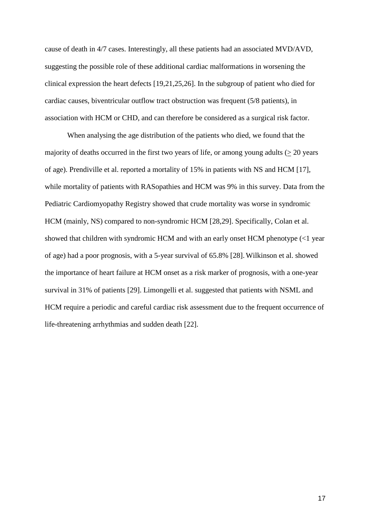cause of death in 4/7 cases. Interestingly, all these patients had an associated MVD/AVD, suggesting the possible role of these additional cardiac malformations in worsening the clinical expression the heart defects [19,21,25,26]. In the subgroup of patient who died for cardiac causes, biventricular outflow tract obstruction was frequent (5/8 patients), in association with HCM or CHD, and can therefore be considered as a surgical risk factor.

When analysing the age distribution of the patients who died, we found that the majority of deaths occurred in the first two years of life, or among young adults  $(>20$  years of age). Prendiville et al. reported a mortality of 15% in patients with NS and HCM [17], while mortality of patients with RASopathies and HCM was 9% in this survey. Data from the Pediatric Cardiomyopathy Registry showed that crude mortality was worse in syndromic HCM (mainly, NS) compared to non-syndromic HCM [28,29]. Specifically, Colan et al. showed that children with syndromic HCM and with an early onset HCM phenotype (<1 year of age) had a poor prognosis, with a 5-year survival of 65.8% [28].Wilkinson et al. showed the importance of heart failure at HCM onset as a risk marker of prognosis, with a one-year survival in 31% of patients [29]. Limongelli et al. suggested that patients with NSML and HCM require a periodic and careful cardiac risk assessment due to the frequent occurrence of life-threatening arrhythmias and sudden death [22].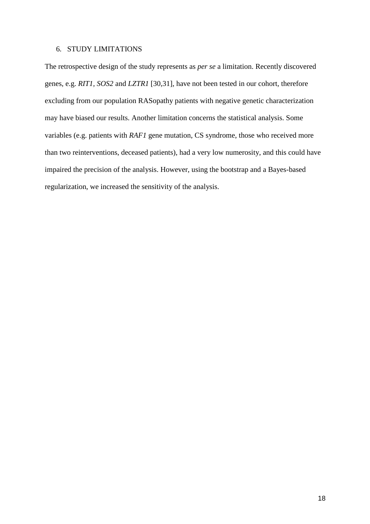#### 6. STUDY LIMITATIONS

The retrospective design of the study represents as *per se* a limitation. Recently discovered genes, e.g. *RIT1, SOS2* and *LZTR1* [30,31], have not been tested in our cohort, therefore excluding from our population RASopathy patients with negative genetic characterization may have biased our results. Another limitation concerns the statistical analysis. Some variables (e.g. patients with *RAF1* gene mutation, CS syndrome, those who received more than two reinterventions, deceased patients), had a very low numerosity, and this could have impaired the precision of the analysis. However, using the bootstrap and a Bayes-based regularization, we increased the sensitivity of the analysis.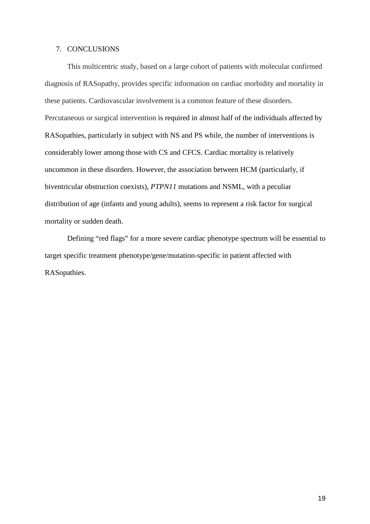#### 7. CONCLUSIONS

This multicentric study, based on a large cohort of patients with molecular confirmed diagnosis of RASopathy, provides specific information on cardiac morbidity and mortality in these patients. Cardiovascular involvement is a common feature of these disorders. Percutaneous or surgical intervention is required in almost half of the individuals affected by RASopathies, particularly in subject with NS and PS while, the number of interventions is considerably lower among those with CS and CFCS. Cardiac mortality is relatively uncommon in these disorders. However, the association between HCM (particularly, if biventricular obstruction coexists), *PTPN11* mutations and NSML, with a peculiar distribution of age (infants and young adults), seems to represent a risk factor for surgical mortality or sudden death.

Defining "red flags" for a more severe cardiac phenotype spectrum will be essential to target specific treatment phenotype/gene/mutation-specific in patient affected with RASopathies.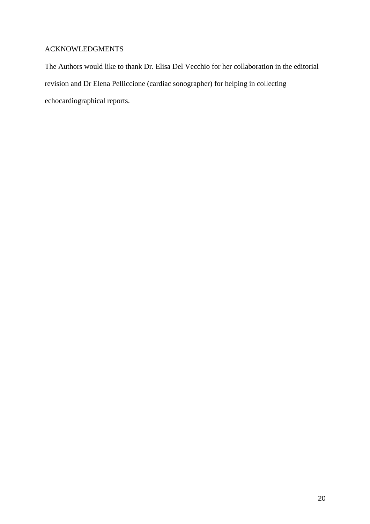## ACKNOWLEDGMENTS

The Authors would like to thank Dr. Elisa Del Vecchio for her collaboration in the editorial revision and Dr Elena Pelliccione (cardiac sonographer) for helping in collecting echocardiographical reports.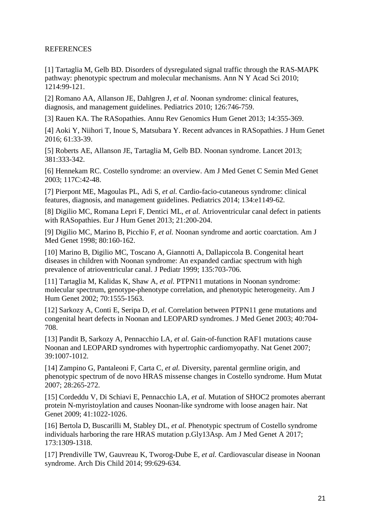### REFERENCES

[1] Tartaglia M, Gelb BD. Disorders of dysregulated signal traffic through the RAS-MAPK pathway: phenotypic spectrum and molecular mechanisms. Ann N Y Acad Sci 2010; 1214:99-121.

[2] Romano AA, Allanson JE, Dahlgren J*, et al.* Noonan syndrome: clinical features, diagnosis, and management guidelines. Pediatrics 2010; 126:746-759.

[3] Rauen KA. The RASopathies. Annu Rev Genomics Hum Genet 2013; 14:355-369.

[4] Aoki Y, Niihori T, Inoue S, Matsubara Y. Recent advances in RASopathies. J Hum Genet 2016; 61:33-39.

[5] Roberts AE, Allanson JE, Tartaglia M, Gelb BD. Noonan syndrome. Lancet 2013; 381:333-342.

[6] Hennekam RC. Costello syndrome: an overview. Am J Med Genet C Semin Med Genet 2003; 117C:42-48.

[7] Pierpont ME, Magoulas PL, Adi S*, et al.* Cardio-facio-cutaneous syndrome: clinical features, diagnosis, and management guidelines. Pediatrics 2014; 134:e1149-62.

[8] Digilio MC, Romana Lepri F, Dentici ML*, et al.* Atrioventricular canal defect in patients with RASopathies. Eur J Hum Genet 2013; 21:200-204.

[9] Digilio MC, Marino B, Picchio F*, et al.* Noonan syndrome and aortic coarctation. Am J Med Genet 1998; 80:160-162.

[10] Marino B, Digilio MC, Toscano A, Giannotti A, Dallapiccola B. Congenital heart diseases in children with Noonan syndrome: An expanded cardiac spectrum with high prevalence of atrioventricular canal. J Pediatr 1999; 135:703-706.

[11] Tartaglia M, Kalidas K, Shaw A*, et al.* PTPN11 mutations in Noonan syndrome: molecular spectrum, genotype-phenotype correlation, and phenotypic heterogeneity. Am J Hum Genet 2002; 70:1555-1563.

[12] Sarkozy A, Conti E, Seripa D*, et al.* Correlation between PTPN11 gene mutations and congenital heart defects in Noonan and LEOPARD syndromes. J Med Genet 2003; 40:704- 708.

[13] Pandit B, Sarkozy A, Pennacchio LA*, et al.* Gain-of-function RAF1 mutations cause Noonan and LEOPARD syndromes with hypertrophic cardiomyopathy. Nat Genet 2007; 39:1007-1012.

[14] Zampino G, Pantaleoni F, Carta C*, et al.* Diversity, parental germline origin, and phenotypic spectrum of de novo HRAS missense changes in Costello syndrome. Hum Mutat 2007; 28:265-272.

[15] Cordeddu V, Di Schiavi E, Pennacchio LA*, et al.* Mutation of SHOC2 promotes aberrant protein N-myristoylation and causes Noonan-like syndrome with loose anagen hair. Nat Genet 2009; 41:1022-1026.

[16] Bertola D, Buscarilli M, Stabley DL*, et al.* Phenotypic spectrum of Costello syndrome individuals harboring the rare HRAS mutation p.Gly13Asp. Am J Med Genet A 2017; 173:1309-1318.

[17] Prendiville TW, Gauvreau K, Tworog-Dube E*, et al.* Cardiovascular disease in Noonan syndrome. Arch Dis Child 2014; 99:629-634.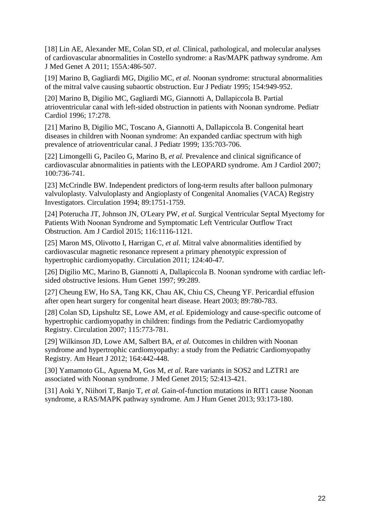[18] Lin AE, Alexander ME, Colan SD*, et al.* Clinical, pathological, and molecular analyses of cardiovascular abnormalities in Costello syndrome: a Ras/MAPK pathway syndrome. Am J Med Genet A 2011; 155A:486-507.

[19] Marino B, Gagliardi MG, Digilio MC*, et al.* Noonan syndrome: structural abnormalities of the mitral valve causing subaortic obstruction. Eur J Pediatr 1995; 154:949-952.

[20] Marino B, Digilio MC, Gagliardi MG, Giannotti A, Dallapiccola B. Partial atrioventricular canal with left-sided obstruction in patients with Noonan syndrome. Pediatr Cardiol 1996; 17:278.

[21] Marino B, Digilio MC, Toscano A, Giannotti A, Dallapiccola B. Congenital heart diseases in children with Noonan syndrome: An expanded cardiac spectrum with high prevalence of atrioventricular canal. J Pediatr 1999; 135:703-706.

[22] Limongelli G, Pacileo G, Marino B*, et al.* Prevalence and clinical significance of cardiovascular abnormalities in patients with the LEOPARD syndrome. Am J Cardiol 2007; 100:736-741.

[23] McCrindle BW. Independent predictors of long-term results after balloon pulmonary valvuloplasty. Valvuloplasty and Angioplasty of Congenital Anomalies (VACA) Registry Investigators. Circulation 1994; 89:1751-1759.

[24] Poterucha JT, Johnson JN, O'Leary PW*, et al.* Surgical Ventricular Septal Myectomy for Patients With Noonan Syndrome and Symptomatic Left Ventricular Outflow Tract Obstruction. Am J Cardiol 2015; 116:1116-1121.

[25] Maron MS, Olivotto I, Harrigan C, et al. Mitral valve abnormalities identified by cardiovascular magnetic resonance represent a primary phenotypic expression of hypertrophic cardiomyopathy. Circulation 2011; 124:40-47.

[26] Digilio MC, Marino B, Giannotti A, Dallapiccola B. Noonan syndrome with cardiac leftsided obstructive lesions. Hum Genet 1997; 99:289.

[27] Cheung EW, Ho SA, Tang KK, Chau AK, Chiu CS, Cheung YF. Pericardial effusion after open heart surgery for congenital heart disease. Heart 2003; 89:780-783.

[28] Colan SD, Lipshultz SE, Lowe AM, et al. Epidemiology and cause-specific outcome of hypertrophic cardiomyopathy in children: findings from the Pediatric Cardiomyopathy Registry. Circulation 2007; 115:773-781.

[29] Wilkinson JD, Lowe AM, Salbert BA*, et al.* Outcomes in children with Noonan syndrome and hypertrophic cardiomyopathy: a study from the Pediatric Cardiomyopathy Registry. Am Heart J 2012; 164:442-448.

[30] Yamamoto GL, Aguena M, Gos M, et al. Rare variants in SOS2 and LZTR1 are associated with Noonan syndrome. J Med Genet 2015; 52:413-421.

[31] Aoki Y, Niihori T, Banjo T*, et al.* Gain-of-function mutations in RIT1 cause Noonan syndrome, a RAS/MAPK pathway syndrome. Am J Hum Genet 2013; 93:173-180.